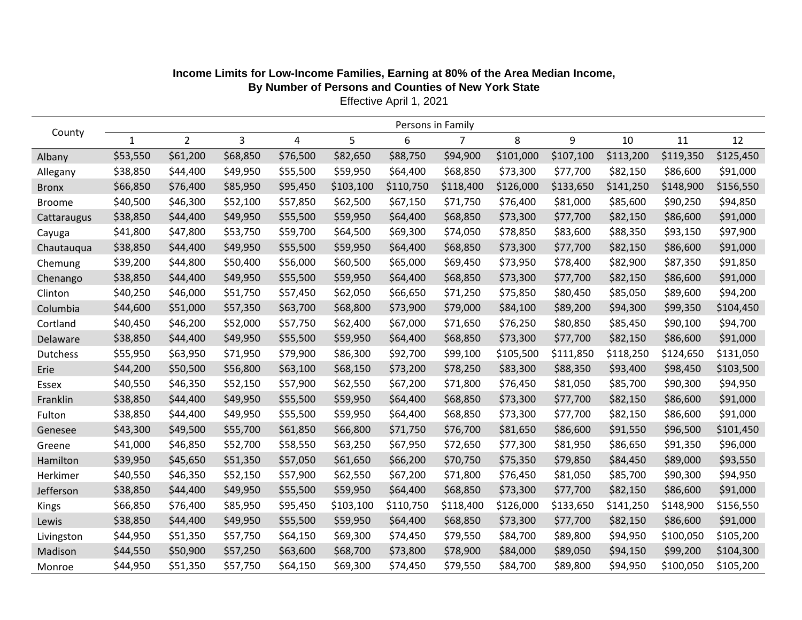|                 | Persons in Family |                |          |          |           |           |           |           |           |           |           |           |
|-----------------|-------------------|----------------|----------|----------|-----------|-----------|-----------|-----------|-----------|-----------|-----------|-----------|
| County          | $\mathbf{1}$      | $\overline{2}$ | 3        | 4        | 5         | 6         | 7         | 8         | 9         | 10        | 11        | 12        |
| Albany          | \$53,550          | \$61,200       | \$68,850 | \$76,500 | \$82,650  | \$88,750  | \$94,900  | \$101,000 | \$107,100 | \$113,200 | \$119,350 | \$125,450 |
| Allegany        | \$38,850          | \$44,400       | \$49,950 | \$55,500 | \$59,950  | \$64,400  | \$68,850  | \$73,300  | \$77,700  | \$82,150  | \$86,600  | \$91,000  |
| <b>Bronx</b>    | \$66,850          | \$76,400       | \$85,950 | \$95,450 | \$103,100 | \$110,750 | \$118,400 | \$126,000 | \$133,650 | \$141,250 | \$148,900 | \$156,550 |
| <b>Broome</b>   | \$40,500          | \$46,300       | \$52,100 | \$57,850 | \$62,500  | \$67,150  | \$71,750  | \$76,400  | \$81,000  | \$85,600  | \$90,250  | \$94,850  |
| Cattaraugus     | \$38,850          | \$44,400       | \$49,950 | \$55,500 | \$59,950  | \$64,400  | \$68,850  | \$73,300  | \$77,700  | \$82,150  | \$86,600  | \$91,000  |
| Cayuga          | \$41,800          | \$47,800       | \$53,750 | \$59,700 | \$64,500  | \$69,300  | \$74,050  | \$78,850  | \$83,600  | \$88,350  | \$93,150  | \$97,900  |
| Chautauqua      | \$38,850          | \$44,400       | \$49,950 | \$55,500 | \$59,950  | \$64,400  | \$68,850  | \$73,300  | \$77,700  | \$82,150  | \$86,600  | \$91,000  |
| Chemung         | \$39,200          | \$44,800       | \$50,400 | \$56,000 | \$60,500  | \$65,000  | \$69,450  | \$73,950  | \$78,400  | \$82,900  | \$87,350  | \$91,850  |
| Chenango        | \$38,850          | \$44,400       | \$49,950 | \$55,500 | \$59,950  | \$64,400  | \$68,850  | \$73,300  | \$77,700  | \$82,150  | \$86,600  | \$91,000  |
| Clinton         | \$40,250          | \$46,000       | \$51,750 | \$57,450 | \$62,050  | \$66,650  | \$71,250  | \$75,850  | \$80,450  | \$85,050  | \$89,600  | \$94,200  |
| Columbia        | \$44,600          | \$51,000       | \$57,350 | \$63,700 | \$68,800  | \$73,900  | \$79,000  | \$84,100  | \$89,200  | \$94,300  | \$99,350  | \$104,450 |
| Cortland        | \$40,450          | \$46,200       | \$52,000 | \$57,750 | \$62,400  | \$67,000  | \$71,650  | \$76,250  | \$80,850  | \$85,450  | \$90,100  | \$94,700  |
| Delaware        | \$38,850          | \$44,400       | \$49,950 | \$55,500 | \$59,950  | \$64,400  | \$68,850  | \$73,300  | \$77,700  | \$82,150  | \$86,600  | \$91,000  |
| <b>Dutchess</b> | \$55,950          | \$63,950       | \$71,950 | \$79,900 | \$86,300  | \$92,700  | \$99,100  | \$105,500 | \$111,850 | \$118,250 | \$124,650 | \$131,050 |
| Erie            | \$44,200          | \$50,500       | \$56,800 | \$63,100 | \$68,150  | \$73,200  | \$78,250  | \$83,300  | \$88,350  | \$93,400  | \$98,450  | \$103,500 |
| Essex           | \$40,550          | \$46,350       | \$52,150 | \$57,900 | \$62,550  | \$67,200  | \$71,800  | \$76,450  | \$81,050  | \$85,700  | \$90,300  | \$94,950  |
| Franklin        | \$38,850          | \$44,400       | \$49,950 | \$55,500 | \$59,950  | \$64,400  | \$68,850  | \$73,300  | \$77,700  | \$82,150  | \$86,600  | \$91,000  |
| Fulton          | \$38,850          | \$44,400       | \$49,950 | \$55,500 | \$59,950  | \$64,400  | \$68,850  | \$73,300  | \$77,700  | \$82,150  | \$86,600  | \$91,000  |
| Genesee         | \$43,300          | \$49,500       | \$55,700 | \$61,850 | \$66,800  | \$71,750  | \$76,700  | \$81,650  | \$86,600  | \$91,550  | \$96,500  | \$101,450 |
| Greene          | \$41,000          | \$46,850       | \$52,700 | \$58,550 | \$63,250  | \$67,950  | \$72,650  | \$77,300  | \$81,950  | \$86,650  | \$91,350  | \$96,000  |
| Hamilton        | \$39,950          | \$45,650       | \$51,350 | \$57,050 | \$61,650  | \$66,200  | \$70,750  | \$75,350  | \$79,850  | \$84,450  | \$89,000  | \$93,550  |
| Herkimer        | \$40,550          | \$46,350       | \$52,150 | \$57,900 | \$62,550  | \$67,200  | \$71,800  | \$76,450  | \$81,050  | \$85,700  | \$90,300  | \$94,950  |
| Jefferson       | \$38,850          | \$44,400       | \$49,950 | \$55,500 | \$59,950  | \$64,400  | \$68,850  | \$73,300  | \$77,700  | \$82,150  | \$86,600  | \$91,000  |
| Kings           | \$66,850          | \$76,400       | \$85,950 | \$95,450 | \$103,100 | \$110,750 | \$118,400 | \$126,000 | \$133,650 | \$141,250 | \$148,900 | \$156,550 |
| Lewis           | \$38,850          | \$44,400       | \$49,950 | \$55,500 | \$59,950  | \$64,400  | \$68,850  | \$73,300  | \$77,700  | \$82,150  | \$86,600  | \$91,000  |
| Livingston      | \$44,950          | \$51,350       | \$57,750 | \$64,150 | \$69,300  | \$74,450  | \$79,550  | \$84,700  | \$89,800  | \$94,950  | \$100,050 | \$105,200 |
| Madison         | \$44,550          | \$50,900       | \$57,250 | \$63,600 | \$68,700  | \$73,800  | \$78,900  | \$84,000  | \$89,050  | \$94,150  | \$99,200  | \$104,300 |
| Monroe          | \$44,950          | \$51,350       | \$57,750 | \$64,150 | \$69,300  | \$74,450  | \$79,550  | \$84,700  | \$89,800  | \$94,950  | \$100,050 | \$105,200 |

## **Income Limits for Low-Income Families, Earning at 80% of the Area Median Income, By Number of Persons and Counties of New York State**

Effective April 1, 2021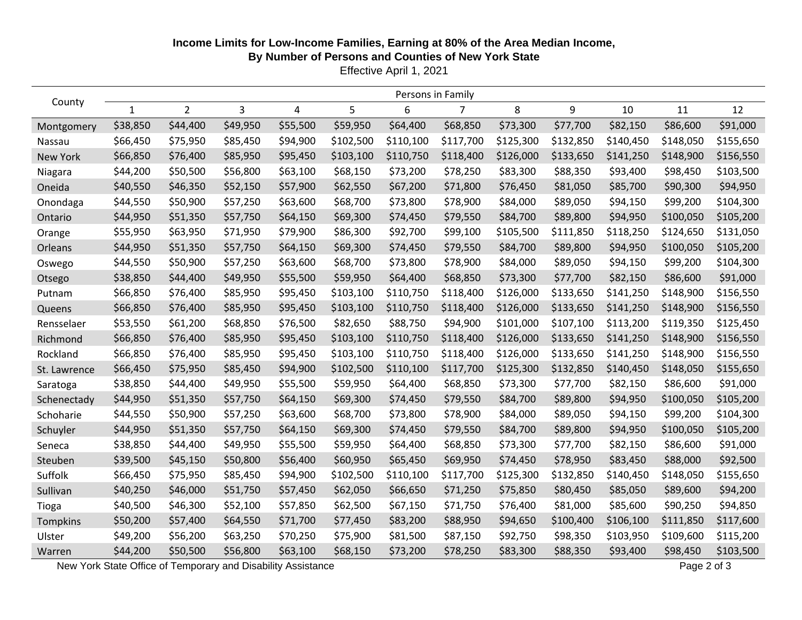## **Income Limits for Low-Income Families, Earning at 80% of the Area Median Income,**

**By Number of Persons and Counties of New York State**

Effective April 1, 2021

| County          | Persons in Family |                |          |          |           |           |           |           |           |           |           |           |
|-----------------|-------------------|----------------|----------|----------|-----------|-----------|-----------|-----------|-----------|-----------|-----------|-----------|
|                 | 1                 | $\overline{2}$ | 3        | 4        | 5         | 6         | 7         | 8         | 9         | 10        | 11        | 12        |
| Montgomery      | \$38,850          | \$44,400       | \$49,950 | \$55,500 | \$59,950  | \$64,400  | \$68,850  | \$73,300  | \$77,700  | \$82,150  | \$86,600  | \$91,000  |
| Nassau          | \$66,450          | \$75,950       | \$85,450 | \$94,900 | \$102,500 | \$110,100 | \$117,700 | \$125,300 | \$132,850 | \$140,450 | \$148,050 | \$155,650 |
| <b>New York</b> | \$66,850          | \$76,400       | \$85,950 | \$95,450 | \$103,100 | \$110,750 | \$118,400 | \$126,000 | \$133,650 | \$141,250 | \$148,900 | \$156,550 |
| Niagara         | \$44,200          | \$50,500       | \$56,800 | \$63,100 | \$68,150  | \$73,200  | \$78,250  | \$83,300  | \$88,350  | \$93,400  | \$98,450  | \$103,500 |
| Oneida          | \$40,550          | \$46,350       | \$52,150 | \$57,900 | \$62,550  | \$67,200  | \$71,800  | \$76,450  | \$81,050  | \$85,700  | \$90,300  | \$94,950  |
| Onondaga        | \$44,550          | \$50,900       | \$57,250 | \$63,600 | \$68,700  | \$73,800  | \$78,900  | \$84,000  | \$89,050  | \$94,150  | \$99,200  | \$104,300 |
| Ontario         | \$44,950          | \$51,350       | \$57,750 | \$64,150 | \$69,300  | \$74,450  | \$79,550  | \$84,700  | \$89,800  | \$94,950  | \$100,050 | \$105,200 |
| Orange          | \$55,950          | \$63,950       | \$71,950 | \$79,900 | \$86,300  | \$92,700  | \$99,100  | \$105,500 | \$111,850 | \$118,250 | \$124,650 | \$131,050 |
| Orleans         | \$44,950          | \$51,350       | \$57,750 | \$64,150 | \$69,300  | \$74,450  | \$79,550  | \$84,700  | \$89,800  | \$94,950  | \$100,050 | \$105,200 |
| Oswego          | \$44,550          | \$50,900       | \$57,250 | \$63,600 | \$68,700  | \$73,800  | \$78,900  | \$84,000  | \$89,050  | \$94,150  | \$99,200  | \$104,300 |
| Otsego          | \$38,850          | \$44,400       | \$49,950 | \$55,500 | \$59,950  | \$64,400  | \$68,850  | \$73,300  | \$77,700  | \$82,150  | \$86,600  | \$91,000  |
| Putnam          | \$66,850          | \$76,400       | \$85,950 | \$95,450 | \$103,100 | \$110,750 | \$118,400 | \$126,000 | \$133,650 | \$141,250 | \$148,900 | \$156,550 |
| Queens          | \$66,850          | \$76,400       | \$85,950 | \$95,450 | \$103,100 | \$110,750 | \$118,400 | \$126,000 | \$133,650 | \$141,250 | \$148,900 | \$156,550 |
| Rensselaer      | \$53,550          | \$61,200       | \$68,850 | \$76,500 | \$82,650  | \$88,750  | \$94,900  | \$101,000 | \$107,100 | \$113,200 | \$119,350 | \$125,450 |
| Richmond        | \$66,850          | \$76,400       | \$85,950 | \$95,450 | \$103,100 | \$110,750 | \$118,400 | \$126,000 | \$133,650 | \$141,250 | \$148,900 | \$156,550 |
| Rockland        | \$66,850          | \$76,400       | \$85,950 | \$95,450 | \$103,100 | \$110,750 | \$118,400 | \$126,000 | \$133,650 | \$141,250 | \$148,900 | \$156,550 |
| St. Lawrence    | \$66,450          | \$75,950       | \$85,450 | \$94,900 | \$102,500 | \$110,100 | \$117,700 | \$125,300 | \$132,850 | \$140,450 | \$148,050 | \$155,650 |
| Saratoga        | \$38,850          | \$44,400       | \$49,950 | \$55,500 | \$59,950  | \$64,400  | \$68,850  | \$73,300  | \$77,700  | \$82,150  | \$86,600  | \$91,000  |
| Schenectady     | \$44,950          | \$51,350       | \$57,750 | \$64,150 | \$69,300  | \$74,450  | \$79,550  | \$84,700  | \$89,800  | \$94,950  | \$100,050 | \$105,200 |
| Schoharie       | \$44,550          | \$50,900       | \$57,250 | \$63,600 | \$68,700  | \$73,800  | \$78,900  | \$84,000  | \$89,050  | \$94,150  | \$99,200  | \$104,300 |
| Schuyler        | \$44,950          | \$51,350       | \$57,750 | \$64,150 | \$69,300  | \$74,450  | \$79,550  | \$84,700  | \$89,800  | \$94,950  | \$100,050 | \$105,200 |
| Seneca          | \$38,850          | \$44,400       | \$49,950 | \$55,500 | \$59,950  | \$64,400  | \$68,850  | \$73,300  | \$77,700  | \$82,150  | \$86,600  | \$91,000  |
| Steuben         | \$39,500          | \$45,150       | \$50,800 | \$56,400 | \$60,950  | \$65,450  | \$69,950  | \$74,450  | \$78,950  | \$83,450  | \$88,000  | \$92,500  |
| Suffolk         | \$66,450          | \$75,950       | \$85,450 | \$94,900 | \$102,500 | \$110,100 | \$117,700 | \$125,300 | \$132,850 | \$140,450 | \$148,050 | \$155,650 |
| Sullivan        | \$40,250          | \$46,000       | \$51,750 | \$57,450 | \$62,050  | \$66,650  | \$71,250  | \$75,850  | \$80,450  | \$85,050  | \$89,600  | \$94,200  |
| Tioga           | \$40,500          | \$46,300       | \$52,100 | \$57,850 | \$62,500  | \$67,150  | \$71,750  | \$76,400  | \$81,000  | \$85,600  | \$90,250  | \$94,850  |
| Tompkins        | \$50,200          | \$57,400       | \$64,550 | \$71,700 | \$77,450  | \$83,200  | \$88,950  | \$94,650  | \$100,400 | \$106,100 | \$111,850 | \$117,600 |
| Ulster          | \$49,200          | \$56,200       | \$63,250 | \$70,250 | \$75,900  | \$81,500  | \$87,150  | \$92,750  | \$98,350  | \$103,950 | \$109,600 | \$115,200 |
| Warren          | \$44,200          | \$50,500       | \$56,800 | \$63,100 | \$68,150  | \$73,200  | \$78,250  | \$83,300  | \$88,350  | \$93,400  | \$98,450  | \$103,500 |

New York State Office of Temporary and Disability Assistance Page 2 of 3